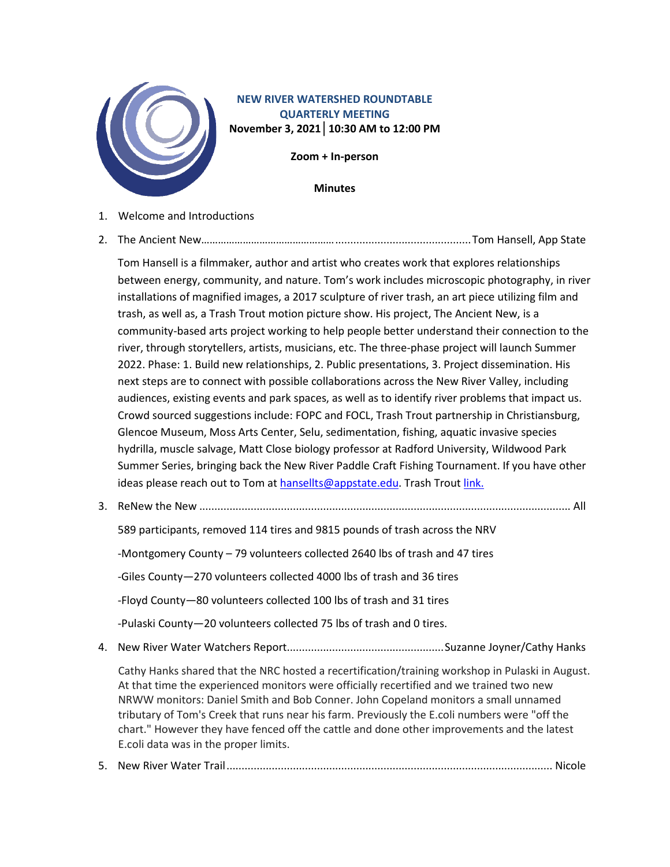

## **NEW RIVER WATERSHED ROUNDTABLE QUARTERLY MEETING November 3, 2021│10:30 AM to 12:00 PM**

**Zoom + In-person**

**Minutes**

- 1. Welcome and Introductions
- 2. The Ancient New………………………………………….............................................Tom Hansell, App State

Tom Hansell is a filmmaker, author and artist who creates work that explores relationships between energy, community, and nature. Tom's work includes microscopic photography, in river installations of magnified images, a 2017 sculpture of river trash, an art piece utilizing film and trash, as well as, a Trash Trout motion picture show. His project, The Ancient New, is a community-based arts project working to help people better understand their connection to the river, through storytellers, artists, musicians, etc. The three-phase project will launch Summer 2022. Phase: 1. Build new relationships, 2. Public presentations, 3. Project dissemination. His next steps are to connect with possible collaborations across the New River Valley, including audiences, existing events and park spaces, as well as to identify river problems that impact us. Crowd sourced suggestions include: FOPC and FOCL, Trash Trout partnership in Christiansburg, Glencoe Museum, Moss Arts Center, Selu, sedimentation, fishing, aquatic invasive species hydrilla, muscle salvage, Matt Close biology professor at Radford University, Wildwood Park Summer Series, bringing back the New River Paddle Craft Fishing Tournament. If you have other ideas please reach out to Tom at [hansellts@appstate.edu.](mailto:hansellts@appstate.edu) Trash Trout [link.](https://www.ashevillegreenworks.org/trash-trout.html#:%7E:text=Trash%20Trouts%20are%20purpose%20built,to%20harm%20the%20local%20fauna.)

3. ReNew the New ........................................................................................................................... All

589 participants, removed 114 tires and 9815 pounds of trash across the NRV

-Montgomery County – 79 volunteers collected 2640 lbs of trash and 47 tires

-Giles County—270 volunteers collected 4000 lbs of trash and 36 tires

-Floyd County—80 volunteers collected 100 lbs of trash and 31 tires

-Pulaski County—20 volunteers collected 75 lbs of trash and 0 tires.

4. New River Water Watchers Report....................................................Suzanne Joyner/Cathy Hanks

Cathy Hanks shared that the NRC hosted a recertification/training workshop in Pulaski in August. At that time the experienced monitors were officially recertified and we trained two new NRWW monitors: Daniel Smith and Bob Conner. John Copeland monitors a small unnamed tributary of Tom's Creek that runs near his farm. Previously the E.coli numbers were "off the chart." However they have fenced off the cattle and done other improvements and the latest E.coli data was in the proper limits.

5. New River Water Trail............................................................................................................ Nicole